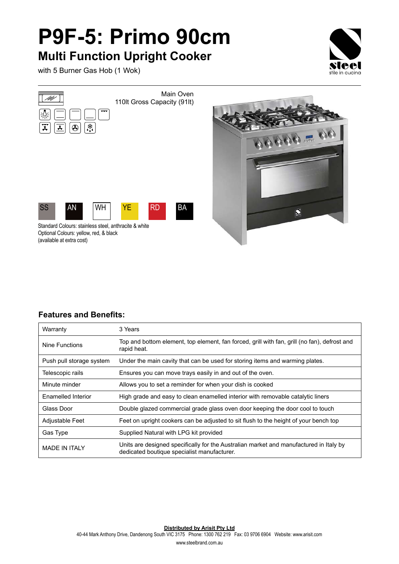## **P9F-5: Primo 90cm Multi Function Upright Cooker**

with 5 Burner Gas Hob (1 Wok)





## **Features and Benefits:**

| Warranty                 | 3 Years                                                                                                                               |
|--------------------------|---------------------------------------------------------------------------------------------------------------------------------------|
| Nine Functions           | Top and bottom element, top element, fan forced, grill with fan, grill (no fan), defrost and<br>rapid heat.                           |
| Push pull storage system | Under the main cavity that can be used for storing items and warming plates.                                                          |
| Telescopic rails         | Ensures you can move trays easily in and out of the oven.                                                                             |
| Minute minder            | Allows you to set a reminder for when your dish is cooked                                                                             |
| Enamelled Interior       | High grade and easy to clean enamelled interior with removable catalytic liners                                                       |
| Glass Door               | Double glazed commercial grade glass oven door keeping the door cool to touch                                                         |
| Adjustable Feet          | Feet on upright cookers can be adjusted to sit flush to the height of your bench top                                                  |
| Gas Type                 | Supplied Natural with LPG kit provided                                                                                                |
| <b>MADE IN ITAI Y</b>    | Units are designed specifically for the Australian market and manufactured in Italy by<br>dedicated boutique specialist manufacturer. |